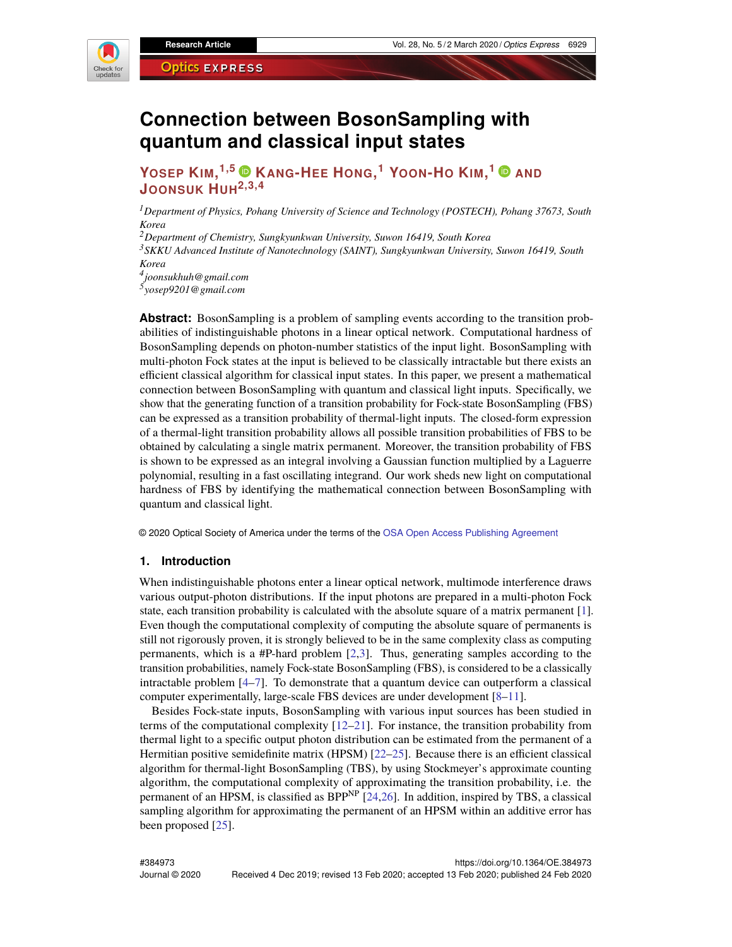

# **Connection between BosonSampling with quantum and classical input states**

## **YOSEP KIM, 1,5 KANG-HEE HONG, <sup>1</sup> YOON-H<sup>O</sup> KIM, <sup>1</sup> AND JOONSUK HUH2,3,4**

*<sup>1</sup>Department of Physics, Pohang University of Science and Technology (POSTECH), Pohang 37673, South Korea*

*<sup>2</sup>Department of Chemistry, Sungkyunkwan University, Suwon 16419, South Korea*

*<sup>3</sup>SKKU Advanced Institute of Nanotechnology (SAINT), Sungkyunkwan University, Suwon 16419, South Korea*

*4 joonsukhuh@gmail.com 5 yosep9201@gmail.com*

**Abstract:** BosonSampling is a problem of sampling events according to the transition probabilities of indistinguishable photons in a linear optical network. Computational hardness of BosonSampling depends on photon-number statistics of the input light. BosonSampling with multi-photon Fock states at the input is believed to be classically intractable but there exists an efficient classical algorithm for classical input states. In this paper, we present a mathematical connection between BosonSampling with quantum and classical light inputs. Specifically, we show that the generating function of a transition probability for Fock-state BosonSampling (FBS) can be expressed as a transition probability of thermal-light inputs. The closed-form expression of a thermal-light transition probability allows all possible transition probabilities of FBS to be obtained by calculating a single matrix permanent. Moreover, the transition probability of FBS is shown to be expressed as an integral involving a Gaussian function multiplied by a Laguerre polynomial, resulting in a fast oscillating integrand. Our work sheds new light on computational hardness of FBS by identifying the mathematical connection between BosonSampling with quantum and classical light.

© 2020 Optical Society of America under the terms of the [OSA Open Access Publishing Agreement](https://doi.org/10.1364/OA_License_v1)

## **1. Introduction**

When indistinguishable photons enter a linear optical network, multimode interference draws various output-photon distributions. If the input photons are prepared in a multi-photon Fock state, each transition probability is calculated with the absolute square of a matrix permanent [\[1\]](#page-6-0). Even though the computational complexity of computing the absolute square of permanents is still not rigorously proven, it is strongly believed to be in the same complexity class as computing permanents, which is a #P-hard problem [\[2,](#page-6-1)[3\]](#page-6-2). Thus, generating samples according to the transition probabilities, namely Fock-state BosonSampling (FBS), is considered to be a classically intractable problem [\[4](#page-6-3)[–7\]](#page-6-4). To demonstrate that a quantum device can outperform a classical computer experimentally, large-scale FBS devices are under development [\[8–](#page-6-5)[11\]](#page-7-0).

Besides Fock-state inputs, BosonSampling with various input sources has been studied in terms of the computational complexity  $[12-21]$  $[12-21]$ . For instance, the transition probability from thermal light to a specific output photon distribution can be estimated from the permanent of a Hermitian positive semidefinite matrix (HPSM) [\[22](#page-7-3)[–25\]](#page-7-4). Because there is an efficient classical algorithm for thermal-light BosonSampling (TBS), by using Stockmeyer's approximate counting algorithm, the computational complexity of approximating the transition probability, i.e. the permanent of an HPSM, is classified as BPP<sup>NP</sup> [\[24,](#page-7-5)[26\]](#page-7-6). In addition, inspired by TBS, a classical sampling algorithm for approximating the permanent of an HPSM within an additive error has been proposed [\[25\]](#page-7-4).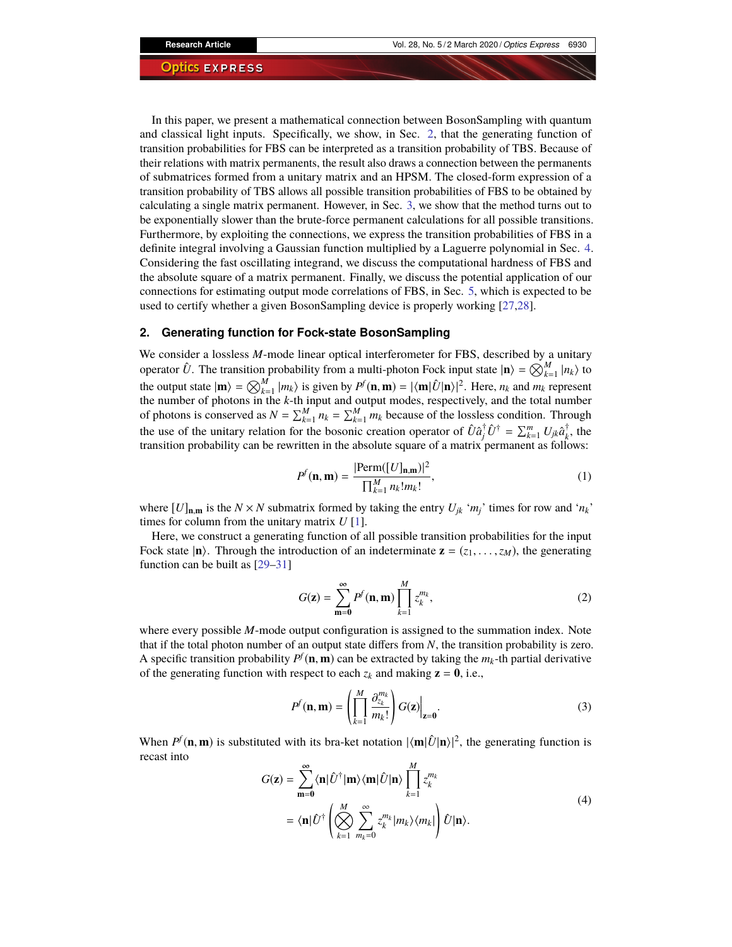In this paper, we present a mathematical connection between BosonSampling with quantum and classical light inputs. Specifically, we show, in Sec. [2,](#page-1-0) that the generating function of transition probabilities for FBS can be interpreted as a transition probability of TBS. Because of their relations with matrix permanents, the result also draws a connection between the permanents of submatrices formed from a unitary matrix and an HPSM. The closed-form expression of a transition probability of TBS allows all possible transition probabilities of FBS to be obtained by calculating a single matrix permanent. However, in Sec. [3,](#page-3-0) we show that the method turns out to be exponentially slower than the brute-force permanent calculations for all possible transitions. Furthermore, by exploiting the connections, we express the transition probabilities of FBS in a definite integral involving a Gaussian function multiplied by a Laguerre polynomial in Sec. [4.](#page-4-0) Considering the fast oscillating integrand, we discuss the computational hardness of FBS and the absolute square of a matrix permanent. Finally, we discuss the potential application of our connections for estimating output mode correlations of FBS, in Sec. [5,](#page-6-6) which is expected to be used to certify whether a given BosonSampling device is properly working [\[27](#page-7-7)[,28\]](#page-7-8).

## <span id="page-1-0"></span>**2. Generating function for Fock-state BosonSampling**

We consider a lossless *M*-mode linear optical interferometer for FBS, described by a unitary operator  $\hat{U}$ . The transition probability from a multi-photon Fock input state  $|\mathbf{n}\rangle = \bigotimes_{k=1}^{M} |n_k\rangle$  to the output state  $|\mathbf{m}\rangle = \bigotimes_{k=1}^{M} |m_k\rangle$  is given by  $P^f(\mathbf{n}, \mathbf{m}) = |\langle \mathbf{m}|\hat{U}|\mathbf{n}\rangle|^2$ . Here,  $n_k$  and  $m_k$  represent the number of photons in the *k*-th input and output modes, respectively, and the total number of photons is conserved as  $N = \sum_{k=1}^{M} n_k = \sum_{k=1}^{M} m_k$  because of the lossless condition. Through the use of the unitary relation for the bosonic creation operator of  $\hat{U}\hat{a}^{\dagger}_{j}\hat{U}^{\dagger} = \sum_{k=1}^{m} U_{jk}\hat{a}^{\dagger}_{k}$  $\bar{k}$ , the transition probability can be rewritten in the absolute square of a matrix permanent as follows:

$$
P^{f}(\mathbf{n}, \mathbf{m}) = \frac{|\text{Perm}([U]_{\mathbf{n}, \mathbf{m}})|^2}{\prod_{k=1}^{M} n_k! m_k!},
$$
\n(1)

where  $[U]_{n,m}$  is the  $N \times N$  submatrix formed by taking the entry  $U_{ik}$  ' $m_i$ ' times for row and ' $n_k$ ' times for column from the unitary matrix *U* [\[1\]](#page-6-0).

Here, we construct a generating function of all possible transition probabilities for the input Fock state  $|\mathbf{n}\rangle$ . Through the introduction of an indeterminate  $\mathbf{z} = (z_1, \dots, z_M)$ , the generating function can be built as [\[29–](#page-7-9)[31\]](#page-7-10)

$$
G(\mathbf{z}) = \sum_{\mathbf{m}=0}^{\infty} P^f(\mathbf{n}, \mathbf{m}) \prod_{k=1}^{M} z_k^{m_k},
$$
 (2)

where every possible *M*-mode output configuration is assigned to the summation index. Note that if the total photon number of an output state differs from *N*, the transition probability is zero. A specific transition probability  $P^f(\mathbf{n}, \mathbf{m})$  can be extracted by taking the  $m_k$ -th partial derivative of the generating function with respect to each  $z_k$  and making  $z = 0$ , i.e.,

$$
P^{f}(\mathbf{n}, \mathbf{m}) = \left(\prod_{k=1}^{M} \frac{\partial_{z_k}^{m_k}}{m_k!}\right) G(\mathbf{z})\Big|_{\mathbf{z}=\mathbf{0}}.
$$
 (3)

When  $P^f(\mathbf{n}, \mathbf{m})$  is substituted with its bra-ket notation  $|\langle \mathbf{m} | \hat{U} | \mathbf{n} \rangle|^2$ , the generating function is recast into

$$
G(\mathbf{z}) = \sum_{m=0}^{\infty} \langle \mathbf{n} | \hat{U}^{\dagger} | \mathbf{m} \rangle \langle \mathbf{m} | \hat{U} | \mathbf{n} \rangle \prod_{k=1}^{M} z_k^{m_k}
$$
  
=  $\langle \mathbf{n} | \hat{U}^{\dagger} \left( \bigotimes_{k=1}^{M} \sum_{m_k=0}^{\infty} z_k^{m_k} |m_k \rangle \langle m_k| \right) \hat{U} | \mathbf{n} \rangle.$  (4)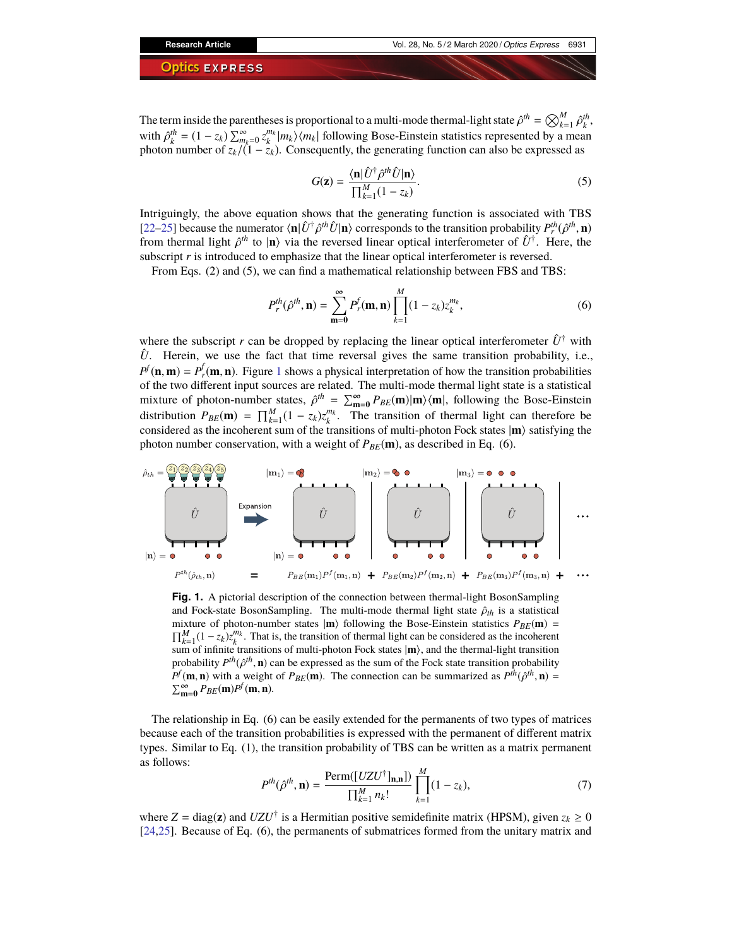The term inside the parentheses is proportional to a multi-mode thermal-light state  $\hat{\rho}^{th} = \bigotimes_{k=1}^{M} \hat{\rho}_{k}^{th}$ ,<br>with  $\hat{\sigma}^{th} = (1 - \epsilon) \sum_{k=1}^{N} \hat{\rho}_{k}^{m_{k}}$  i.e.  $\sum_{k=1}^{N} \hat{\rho}_{k}^{m_{k}}$ with  $\hat{\rho}_k^{th} = (1 - z_k) \sum_{m_k=0}^{\infty} z_k^{m_k} |m_k\rangle\langle m_k|$  following Bose-Einstein statistics represented by a mean photon number of  $z_k/(1 - z_k)$ . Consequently, the generating function can also be expressed as

$$
G(\mathbf{z}) = \frac{\langle \mathbf{n} | \hat{U}^{\dagger} \hat{\rho}^{th} \hat{U} | \mathbf{n} \rangle}{\prod_{k=1}^{M} (1 - z_k)}.
$$
 (5)

Intriguingly, the above equation shows that the generating function is associated with TBS [\[22–](#page-7-3)[25\]](#page-7-4) because the numerator  $\langle \mathbf{n} | \hat{U}^{\dagger} \hat{\rho}^{th} \hat{U} | \mathbf{n} \rangle$  corresponds to the transition probability  $P_{\mu}^{th}(\hat{\rho}^{th}, \mathbf{n})$ <br>from thermal light  $\hat{\rho}^{th}$  to  $|\mathbf{n}\rangle$  via the reversed linear optical interfero from thermal light  $\hat{\rho}^{th}$  to  $|\mathbf{n}\rangle$  via the reversed linear optical interferometer of  $\hat{U}^{\dagger}$ . Here, the subscript *r* is introduced to emphasize that the linear optical interferometer is reversed subscript *r* is introduced to emphasize that the linear optical interferometer is reversed.

From Eqs. (2) and (5), we can find a mathematical relationship between FBS and TBS:

$$
P_r^{th}(\hat{\rho}^{th}, \mathbf{n}) = \sum_{m=0}^{\infty} P_r^{f}(\mathbf{m}, \mathbf{n}) \prod_{k=1}^{M} (1 - z_k) z_k^{m_k},
$$
(6)

where the subscript *r* can be dropped by replacing the linear optical interferometer  $\hat{U}^{\dagger}$  with  $\hat{U}$ . Herein, we use the fact that time reversal gives the same transition probability, i.e.,  $P^f$ (**n**, **m**) =  $P^f$ <sub>*r*</sub>(**m**, **n**). Figure [1](#page-2-0) shows a physical interpretation of how the transition probabilities of the two different input sources are related. The multi-mode thermal light state is a statistical mixture of photon-number states,  $\hat{\rho}^{th} = \sum_{m=0}^{\infty} P_{BE}(m) |m\rangle \langle m|$ , following the Bose-Einstein distribution  $P_{\sigma}(\mathbf{m}) = \nabla^M (1 - \tau)^{m}$ . The transition of thermal light can therefore be distribution  $P_{BE}(\mathbf{m}) = \prod_{k=1}^{M} (1 - z_k) z_k^{m_k}$ . The transition of thermal light can therefore be considered as the incoherent sum of the transitions of multi-photon Fock states  $|\mathbf{m}\rangle$  satisfying the photon number conservation, with a weight of  $P_{BE}(\mathbf{m})$ , as described in Eq. (6).



<span id="page-2-0"></span>Fig. 1. A pictorial description of the connection between thermal-light BosonSampling and Fock-state BosonSampling. The multi-mode thermal light state  $\hat{\rho}_{th}$  is a statistical mixture of photon-number states  $|\mathbf{m}\rangle$  following the Bose-Einstein statistics  $P_{BE}(\mathbf{m})$  =  $\prod_{k=1}^{M} (1 - z_k) z_k^{m_k}$ . That is, the transition of thermal light can be considered as the incoherent sum of infinite transitions of multi-photon Fock states  $|\mathbf{m}\rangle$ , and the thermal-light transition probability  $P^{th}(\hat{\rho}^{th}, \mathbf{n})$  can be expressed as the sum of the Fock state transition probability  $P^{f}(\mathbf{m}, \mathbf{n})$  with a weight of  $P_{\text{exp}}(\mathbf{m})$ . The connection can be summarized as  $P^{th}(\hat{\rho}^{th}, \mathbf{n})$  –  $P^f(\mathbf{m}, \mathbf{n})$  with a weight of  $P_{BE}(\mathbf{m})$ . The connection can be summarized as  $P^{th}(\hat{\rho}^{th}, \mathbf{n}) = \sum_{k=0}^{\infty} P_{BE}(\mathbf{m}, \mathbf{n})$  $\sum_{m=0}^{\infty} P_{BE}(m)P^f(m,n).$ 

The relationship in Eq. (6) can be easily extended for the permanents of two types of matrices because each of the transition probabilities is expressed with the permanent of different matrix types. Similar to Eq. (1), the transition probability of TBS can be written as a matrix permanent as follows:

$$
P^{th}(\hat{\rho}^{th}, \mathbf{n}) = \frac{\text{Perm}([UZU^{\dagger}]_{\mathbf{n}, \mathbf{n}}]}{\prod_{k=1}^{M} n_k!} \prod_{k=1}^{M} (1 - z_k),\tag{7}
$$

where  $Z = \text{diag}(z)$  and  $UZU^{\dagger}$  is a Hermitian positive semidefinite matrix (HPSM), given  $z_k \ge 0$ [\[24,](#page-7-5)[25\]](#page-7-4). Because of Eq. (6), the permanents of submatrices formed from the unitary matrix and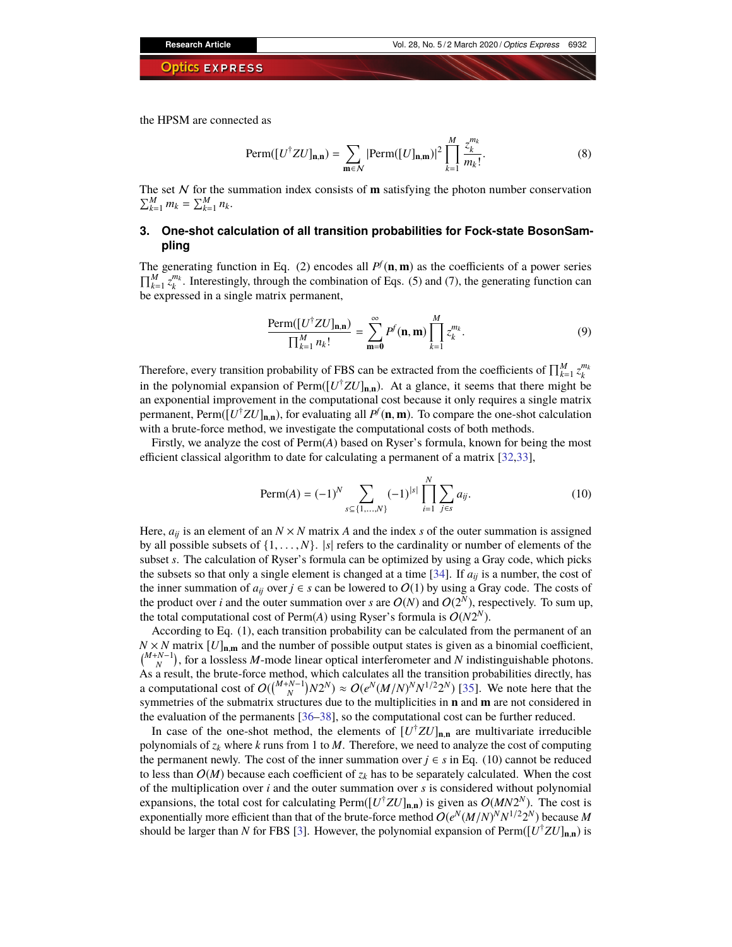the HPSM are connected as

Perm(
$$
[U^{\dagger}ZU]_{\mathbf{n},\mathbf{n}})
$$
 =  $\sum_{\mathbf{m}\in\mathcal{N}} |{\text{Perm}([U]_{\mathbf{n},\mathbf{m}})}|^2 \prod_{k=1}^M \frac{z_k^{m_k}}{m_k!}$ . (8)

The set  $N$  for the summation index consists of **m** satisfying the photon number conservation  $\sum_{k=1}^{M} m_k = \sum_{k=1}^{M} n_k$ .

## <span id="page-3-0"></span>**3. One-shot calculation of all transition probabilities for Fock-state BosonSampling**

The generating function in Eq. (2) encodes all  $P^f$  (**n**, **m**) as the coefficients of a power series  $\prod_{k=1}^{M} z_k^{m_k}$ . Interestingly, through the combination of Eqs. (5) and (7), the generating function can be expressed in a single matrix permanent,

$$
\frac{\text{Perm}([U^{\dagger}ZU]_{\mathbf{n},\mathbf{n}})}{\prod_{k=1}^{M}n_k!} = \sum_{\mathbf{m}=0}^{\infty} P^f(\mathbf{n},\mathbf{m}) \prod_{k=1}^{M} z_k^{m_k}.
$$
 (9)

Therefore, every transition probability of FBS can be extracted from the coefficients of  $\prod_{k=1}^{M} z_k^{m_k}$ in the polynomial expansion of Perm( $[U^{\dagger}ZU]_{n,n}$ ). At a glance, it seems that there might be an exponential improvement in the computational cost because it only requires a single matrix permanent, Perm([*U* †*ZU*]**n**,**n**), for evaluating all *P f* (**n**, **m**). To compare the one-shot calculation with a brute-force method, we investigate the computational costs of both methods.

Firstly, we analyze the cost of Perm(*A*) based on Ryser's formula, known for being the most efficient classical algorithm to date for calculating a permanent of a matrix [\[32](#page-7-11)[,33\]](#page-7-12),

$$
\text{Perm}(A) = (-1)^{N} \sum_{s \subseteq \{1, ..., N\}} (-1)^{|s|} \prod_{i=1}^{N} \sum_{j \in s} a_{ij}.
$$
 (10)

Here,  $a_{ij}$  is an element of an  $N \times N$  matrix *A* and the index *s* of the outer summation is assigned by all possible subsets of  $\{1, \ldots, N\}$ .  $|s|$  refers to the cardinality or number of elements of the subset *s*. The calculation of Ryser's formula can be optimized by using a Gray code, which picks the subsets so that only a single element is changed at a time [\[34\]](#page-7-13). If  $a_{ii}$  is a number, the cost of the inner summation of  $a_{ij}$  over  $j \in s$  can be lowered to  $O(1)$  by using a Gray code. The costs of the product over *i* and the outer summation over *s* are  $O(N)$  and  $O(2^N)$ , respectively. To sum up, the total computational cost of Perm $(A)$  using Ryser's formula is  $O(N2^N)$ .

According to Eq. (1), each transition probability can be calculated from the permanent of an  $N \times N$  matrix  $[U]_{n,m}$  and the number of possible output states is given as a binomial coefficient, *(<sup>M+N-1</sup>*), for a lossless *M*-mode linear optical interferometer and *N* indistinguishable photons. As a result, the brute-force method, which calculates all the transition probabilities directly, has a computational cost of  $O(\binom{M+N-1}{N}N2^N) \approx O(e^N(M/N)^N N^{1/2}2^N)$  [\[35\]](#page-7-14). We note here that the symmetries of the submatrix structures due to the multiplicities in **n** and **m** are not considered in the evaluation of the permanents [\[36](#page-7-15)[–38\]](#page-7-16), so the computational cost can be further reduced.

In case of the one-shot method, the elements of  $[U^{\dagger}ZU]_{n,n}$  are multivariate irreducible polynomials of  $z_k$  where  $k$  runs from 1 to  $M$ . Therefore, we need to analyze the cost of computing the permanent newly. The cost of the inner summation over  $j \in s$  in Eq. (10) cannot be reduced to less than  $O(M)$  because each coefficient of  $z_k$  has to be separately calculated. When the cost of the multiplication over *i* and the outer summation over *s* is considered without polynomial expansions, the total cost for calculating Perm( $[U^{\dagger}ZU]_{n,n}$ ) is given as  $O(MN2^N)$ . The cost is exponentially more efficient than that of the brute-force method  $O(e^N(M/N)^N N^{1/2}2^N)$  because M should be larger than *N* for FBS [\[3\]](#page-6-2). However, the polynomial expansion of Perm( $[U^{\dagger}ZU]_{n,n}$ ) is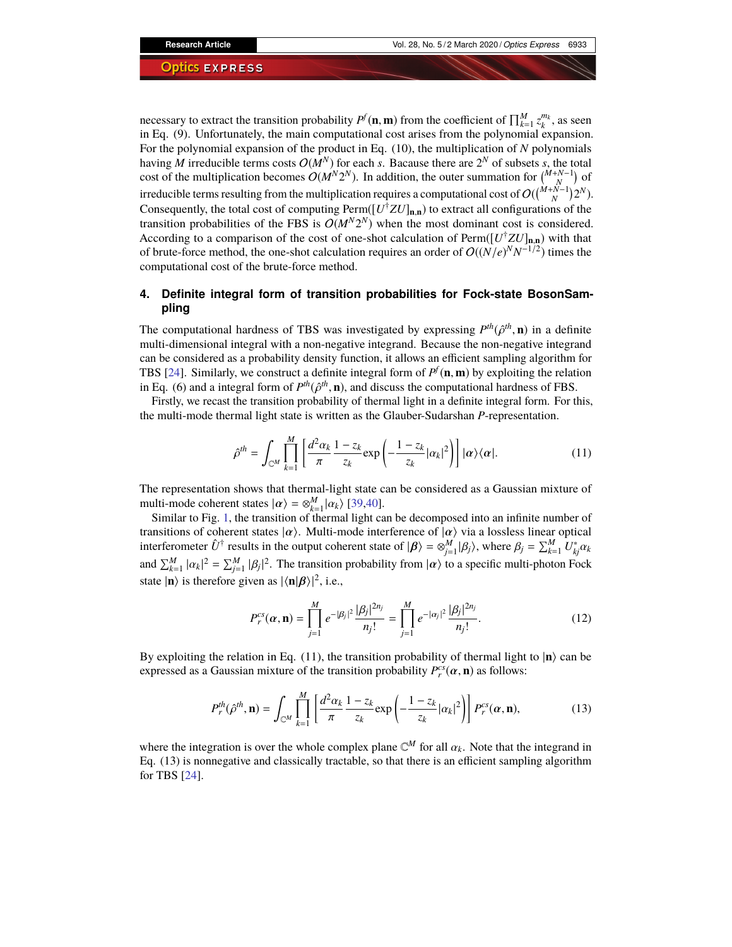necessary to extract the transition probability  $P^f(\mathbf{n}, \mathbf{m})$  from the coefficient of  $\prod_{k=1}^M z_k^{m_k}$ , as seen in Eq. (9). Unfortunately, the main computational cost arises from the polynomial expansion. For the polynomial expansion of the product in Eq. (10), the multiplication of *N* polynomials having *M* irreducible terms costs  $O(M^N)$  for each *s*. Bacause there are  $2^N$  of subsets *s*, the total cost of the multiplication becomes  $O(M^N 2^N)$ . In addition, the outer summation for  $\binom{M+N-1}{N}$  of irreducible terms resulting from the multiplication requires a computational cost of  $O(\binom{M+N-1}{N}2^N)$ . Consequently, the total cost of computing  $\text{Perm}([U^{\dagger}ZU]_{n,n})$  to extract all configurations of the transition probabilities of the FBS is  $O(M^N 2^N)$  when the most dominant cost is considered. According to a comparison of the cost of one-shot calculation of Perm([*U* †*ZU*]**n**,**n**) with that of brute-force method, the one-shot calculation requires an order of  $O((N/e)^N N^{-1/2})$  times the computational cost of the brute-force method.

## <span id="page-4-0"></span>**4. Definite integral form of transition probabilities for Fock-state BosonSampling**

The computational hardness of TBS was investigated by expressing  $P^{th}(\hat{\rho}^{th}, \mathbf{n})$  in a definite multi-dimensional integral with a non-negative integrand. Because the non-negative integrand multi-dimensional integral with a non-negative integrand. Because the non-negative integrand can be considered as a probability density function, it allows an efficient sampling algorithm for TBS [\[24\]](#page-7-5). Similarly, we construct a definite integral form of  $P^f$ (**n**, **m**) by exploiting the relation in Eq. (6) and a integral form of  $P^{th}(\hat{\rho}^{th}, \mathbf{n})$ , and discuss the computational hardness of FBS.<br>Firstly we recast the transition probability of thermal light in a definite integral form. For the

Firstly, we recast the transition probability of thermal light in a definite integral form. For this, the multi-mode thermal light state is written as the Glauber-Sudarshan *P*-representation.

$$
\hat{\rho}^{th} = \int_{\mathbb{C}^M} \prod_{k=1}^M \left[ \frac{d^2 \alpha_k}{\pi} \frac{1 - z_k}{z_k} \exp\left( -\frac{1 - z_k}{z_k} |\alpha_k|^2 \right) \right] |\alpha\rangle \langle \alpha|.
$$
 (11)

The representation shows that thermal-light state can be considered as a Gaussian mixture of multi-mode coherent states  $|\alpha\rangle = \otimes_{k=1}^{M} |\alpha_k\rangle$  [\[39](#page-7-17)[,40\]](#page-7-18).<br>Similar to Fig. 1, the transition of thermal light ca

Similar to Fig. [1,](#page-2-0) the transition of thermal light can be decomposed into an infinite number of transitions of coherent states  $|\alpha\rangle$ . Multi-mode interference of  $|\alpha\rangle$  via a lossless linear optical interferometer  $\hat{U}^{\dagger}$  results in the output coherent state of  $|\beta\rangle = \otimes_{j=1}^{M} |\beta_j\rangle$ , where  $\beta_j = \sum_{k=1}^{M} U_{kj}^* \alpha_k$ and  $\sum_{k=1}^{M} |\alpha_k|^2 = \sum_{j=1}^{M} |\beta_j|^2$ . The transition probability from  $|\alpha\rangle$  to a specific multi-photon Fock state  $|\mathbf{n}\rangle$  is therefore given as  $|\langle \mathbf{n}|\boldsymbol{\beta}\rangle|^2$ , i.e.,

$$
P_r^{cs}(\alpha, \mathbf{n}) = \prod_{j=1}^{M} e^{-|\beta_j|^2} \frac{|\beta_j|^{2n_j}}{n_j!} = \prod_{j=1}^{M} e^{-|\alpha_j|^2} \frac{|\beta_j|^{2n_j}}{n_j!}.
$$
 (12)

By exploiting the relation in Eq.  $(11)$ , the transition probability of thermal light to  $|n\rangle$  can be expressed as a Gaussian mixture of the transition probability  $P_r^{cs}(\alpha, \mathbf{n})$  as follows:

$$
P_r^{th}(\hat{\rho}^{th}, \mathbf{n}) = \int_{\mathbb{C}^M} \prod_{k=1}^M \left[ \frac{d^2 \alpha_k}{\pi} \frac{1 - z_k}{z_k} \exp\left(-\frac{1 - z_k}{z_k} |\alpha_k|^2\right) \right] P_r^{cs}(\boldsymbol{\alpha}, \mathbf{n}),\tag{13}
$$

where the integration is over the whole complex plane  $\mathbb{C}^M$  for all  $\alpha_k$ . Note that the integrand in Eq. (13) is nonperative and classically tractable, so that there is an efficient sampling algorithm Eq. (13) is nonnegative and classically tractable, so that there is an efficient sampling algorithm for TBS [\[24\]](#page-7-5).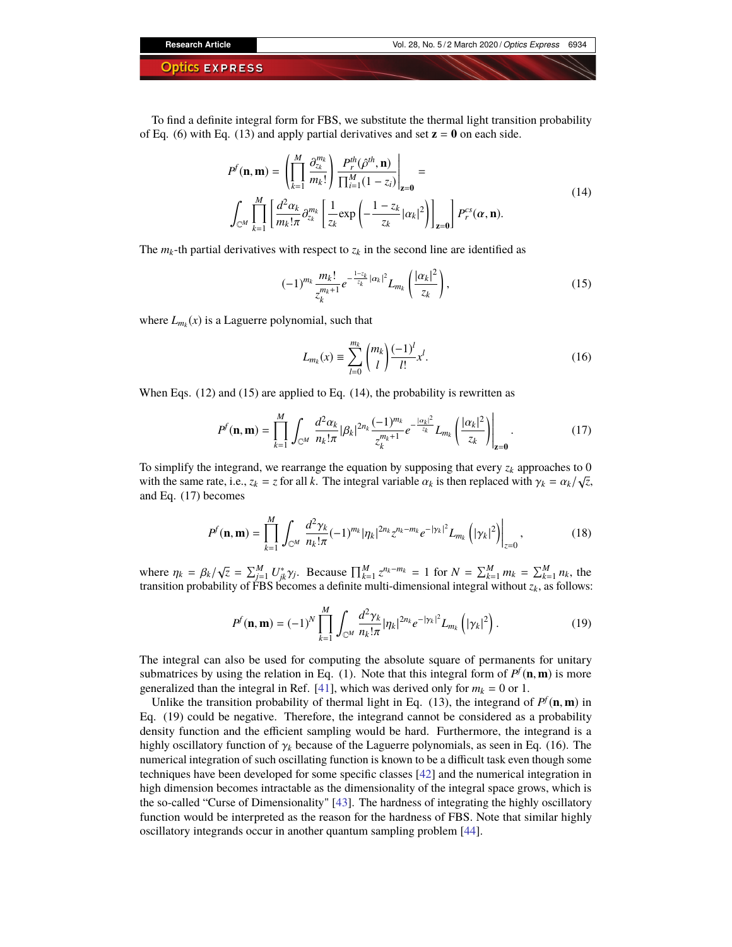To find a definite integral form for FBS, we substitute the thermal light transition probability of Eq. (6) with Eq. (13) and apply partial derivatives and set  $z = 0$  on each side.

$$
P^{f}(\mathbf{n}, \mathbf{m}) = \left(\prod_{k=1}^{M} \frac{\partial_{z_k}^{m_k}}{m_k!} \right) \frac{P_r^{th}(\hat{\rho}^{th}, \mathbf{n})}{\prod_{i=1}^{M} (1 - z_i)} \Big|_{\mathbf{z} = \mathbf{0}} =
$$
  

$$
\int_{\mathbb{C}^{M}} \prod_{k=1}^{M} \left[ \frac{d^2 \alpha_k}{m_k! \pi} \partial_{z_k}^{m_k} \left[ \frac{1}{z_k} \exp\left( -\frac{1 - z_k}{z_k} |\alpha_k|^2 \right) \right]_{\mathbf{z} = \mathbf{0}} \right] P_r^{cs}(\alpha, \mathbf{n}).
$$
 (14)

The  $m_k$ -th partial derivatives with respect to  $z_k$  in the second line are identified as

$$
(-1)^{m_k} \frac{m_k!}{z_k^{m_k+1}} e^{-\frac{1-z_k}{z_k} |\alpha_k|^2} L_{m_k} \left( \frac{|\alpha_k|^2}{z_k} \right), \tag{15}
$$

where  $L_{m_k}(x)$  is a Laguerre polynomial, such that

$$
L_{m_k}(x) \equiv \sum_{l=0}^{m_k} \binom{m_k}{l} \frac{(-1)^l}{l!} x^l.
$$
 (16)

When Eqs. (12) and (15) are applied to Eq. (14), the probability is rewritten as

$$
P^{f}(\mathbf{n},\mathbf{m}) = \prod_{k=1}^{M} \int_{\mathbb{C}^{M}} \frac{d^{2} \alpha_{k}}{n_{k}! \pi} |\beta_{k}|^{2n_{k}} \frac{(-1)^{m_{k}}}{z_{k}^{m_{k}+1}} e^{-\frac{|\alpha_{k}|^{2}}{z_{k}}} L_{m_{k}} \left(\frac{|\alpha_{k}|^{2}}{z_{k}}\right) \Big|_{\mathbf{z}=\mathbf{0}}.
$$
 (17)

To simplify the integrand, we rearrange the equation by supposing that every  $z_k$  approaches to 0 with the same rate, i.e.,  $z_k = z$  for all *k*. The integral variable  $\alpha_k$  is then replaced with  $\gamma_k = \alpha_k / \sqrt{z}$ , and Eq. (17) becomes and Eq. (17) becomes

$$
P^{f}(\mathbf{n}, \mathbf{m}) = \prod_{k=1}^{M} \int_{\mathbb{C}^{M}} \frac{d^{2} \gamma_{k}}{n_{k}! \pi} (-1)^{m_{k}} |\eta_{k}|^{2n_{k}} z^{n_{k} - m_{k}} e^{-|\gamma_{k}|^{2}} L_{m_{k}} \left( |\gamma_{k}|^{2} \right) \Big|_{z=0}, \tag{18}
$$

where  $\eta_k = \beta_k / \sqrt{z} = \sum_{j=1}^M U_{jk}^* \gamma_j$ . Because  $\prod_{k=1}^M z^{n_k - m_k} = 1$  for  $N = \sum_{k=1}^M m_k = \sum_{k=1}^M n_k$ , the transition probability of EBS becomes a definite multi-dimensional integral without z, as follows: transition probability of FBS becomes a definite multi-dimensional integral without  $z<sub>k</sub>$ , as follows:

$$
P^{f}(\mathbf{n}, \mathbf{m}) = (-1)^{N} \prod_{k=1}^{M} \int_{\mathbb{C}^{M}} \frac{d^{2} \gamma_{k}}{n_{k}! \pi} |\eta_{k}|^{2n_{k}} e^{-|\gamma_{k}|^{2}} L_{m_{k}}\left(|\gamma_{k}|^{2}\right).
$$
 (19)

The integral can also be used for computing the absolute square of permanents for unitary submatrices by using the relation in Eq. (1). Note that this integral form of  $P^f(\mathbf{n}, \mathbf{m})$  is more generalized than the integral in Ref. [\[41\]](#page-7-19), which was derived only for  $m_k = 0$  or 1.

Unlike the transition probability of thermal light in Eq. (13), the integrand of  $P^f$ (**n**, **m**) in Eq. (19) could be negative. Therefore, the integrand cannot be considered as a probability density function and the efficient sampling would be hard. Furthermore, the integrand is a highly oscillatory function of  $\gamma_k$  because of the Laguerre polynomials, as seen in Eq. (16). The numerical integration of such oscillating function is known to be a difficult task even though some techniques have been developed for some specific classes [\[42\]](#page-7-20) and the numerical integration in high dimension becomes intractable as the dimensionality of the integral space grows, which is the so-called "Curse of Dimensionality" [\[43\]](#page-7-21). The hardness of integrating the highly oscillatory function would be interpreted as the reason for the hardness of FBS. Note that similar highly oscillatory integrands occur in another quantum sampling problem [\[44\]](#page-7-22).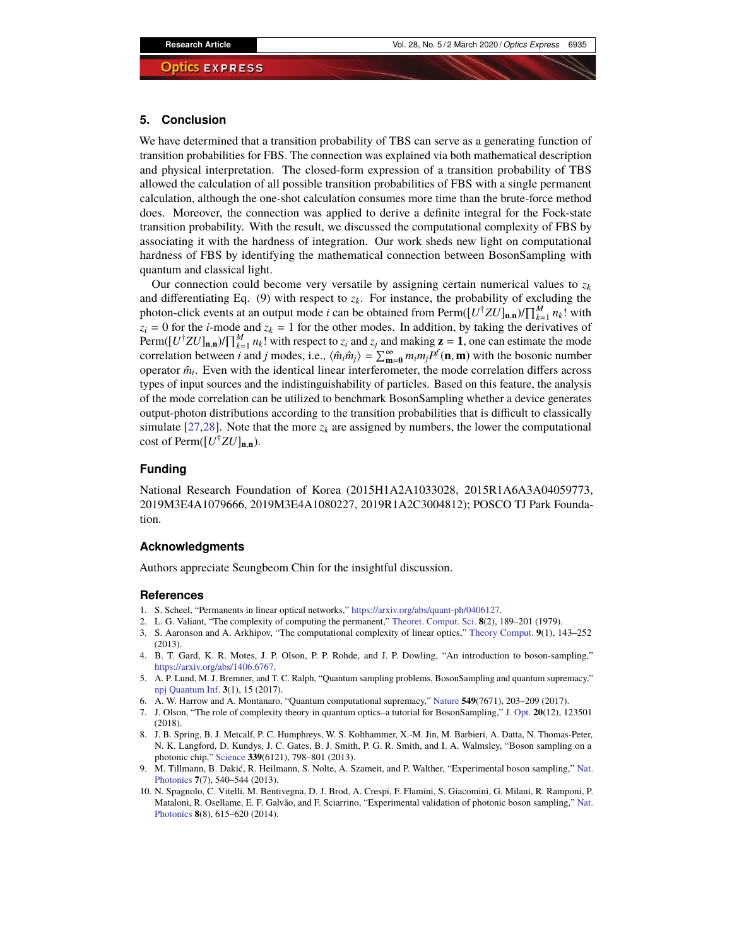## <span id="page-6-6"></span>**5. Conclusion**

We have determined that a transition probability of TBS can serve as a generating function of transition probabilities for FBS. The connection was explained via both mathematical description and physical interpretation. The closed-form expression of a transition probability of TBS allowed the calculation of all possible transition probabilities of FBS with a single permanent calculation, although the one-shot calculation consumes more time than the brute-force method does. Moreover, the connection was applied to derive a definite integral for the Fock-state transition probability. With the result, we discussed the computational complexity of FBS by associating it with the hardness of integration. Our work sheds new light on computational hardness of FBS by identifying the mathematical connection between BosonSampling with quantum and classical light.

Our connection could become very versatile by assigning certain numerical values to  $z_k$ and differentiating Eq. (9) with respect to  $z_k$ . For instance, the probability of excluding the photon-click events at an output mode *i* can be obtained from Perm( $[U^{\dagger}ZU]_{n,n}$ )/ $\prod_{k=1}^{M} n_k!$  with  $z_i = 0$  for the *i*-mode and  $z_k = 1$  for the other modes. In addition, by taking the derivatives of  $\text{Perm}([U^{\dagger}ZU]_{\mathbf{n},\mathbf{n}})/\prod_{k=1}^{M}n_k!$  with respect to  $z_i$  and  $z_j$  and making  $\mathbf{z} = 1$ , one can estimate the mode correlation between *i* and *j* modes, i.e.,  $\langle \hat{m}_i \hat{m}_j \rangle = \sum_{m=0}^{\infty} m_i m_j P^f(\mathbf{n}, \mathbf{m})$  with the bosonic number operator  $\hat{m}_i$ . Even with the identical linear interferometer, the mode correlation differs across types of input sources and the indistinguishability of particles. Based on this feature, the analysis of the mode correlation can be utilized to benchmark BosonSampling whether a device generates output-photon distributions according to the transition probabilities that is difficult to classically simulate [\[27](#page-7-7)[,28\]](#page-7-8). Note that the more  $z_k$  are assigned by numbers, the lower the computational cost of Perm([*U* †*ZU*]**n**,**n**).

## **Funding**

National Research Foundation of Korea (2015H1A2A1033028, 2015R1A6A3A04059773, 2019M3E4A1079666, 2019M3E4A1080227, 2019R1A2C3004812); POSCO TJ Park Foundation.

## **Acknowledgments**

Authors appreciate Seungbeom Chin for the insightful discussion.

#### **References**

- <span id="page-6-0"></span>1. S. Scheel, "Permanents in linear optical networks," [https://arxiv.org/abs/quant-ph/0406127.](https://arxiv.org/abs/quant-ph/0406127)
- <span id="page-6-1"></span>2. L. G. Valiant, "The complexity of computing the permanent," [Theoret. Comput. Sci.](https://doi.org/10.1016/0304-3975(79)90044-6) **8**(2), 189–201 (1979).
- <span id="page-6-2"></span>3. S. Aaronson and A. Arkhipov, "The computational complexity of linear optics," [Theory Comput.](https://doi.org/10.4086/toc.2013.v009a004) **9**(1), 143–252 (2013).
- <span id="page-6-3"></span>4. B. T. Gard, K. R. Motes, J. P. Olson, P. P. Rohde, and J. P. Dowling, "An introduction to boson-sampling," [https://arxiv.org/abs/1406.6767.](https://arxiv.org/abs/1406.6767)
- 5. A. P. Lund, M. J. Bremner, and T. C. Ralph, "Quantum sampling problems, BosonSampling and quantum supremacy," [npj Quantum Inf.](https://doi.org/10.1038/s41534-017-0018-2) **3**(1), 15 (2017).
- 6. A. W. Harrow and A. Montanaro, "Quantum computational supremacy," [Nature](https://doi.org/10.1038/nature23458) **549**(7671), 203–209 (2017).
- <span id="page-6-4"></span>7. J. Olson, "The role of complexity theory in quantum optics–a tutorial for BosonSampling," [J. Opt.](https://doi.org/10.1088/2040-8986/aae74a) **20**(12), 123501 (2018).
- <span id="page-6-5"></span>8. J. B. Spring, B. J. Metcalf, P. C. Humphreys, W. S. Kolthammer, X.-M. Jin, M. Barbieri, A. Datta, N. Thomas-Peter, N. K. Langford, D. Kundys, J. C. Gates, B. J. Smith, P. G. R. Smith, and I. A. Walmsley, "Boson sampling on a photonic chip," [Science](https://doi.org/10.1126/science.1231692) **339**(6121), 798–801 (2013).
- 9. M. Tillmann, B. Dakić, R. Heilmann, S. Nolte, A. Szameit, and P. Walther, "Experimental boson sampling," [Nat.](https://doi.org/10.1038/nphoton.2013.102) [Photonics](https://doi.org/10.1038/nphoton.2013.102) **7**(7), 540–544 (2013).
- 10. N. Spagnolo, C. Vitelli, M. Bentivegna, D. J. Brod, A. Crespi, F. Flamini, S. Giacomini, G. Milani, R. Ramponi, P. Mataloni, R. Osellame, E. F. Galvão, and F. Sciarrino, "Experimental validation of photonic boson sampling," [Nat.](https://doi.org/10.1038/nphoton.2014.135) [Photonics](https://doi.org/10.1038/nphoton.2014.135) **8**(8), 615–620 (2014).